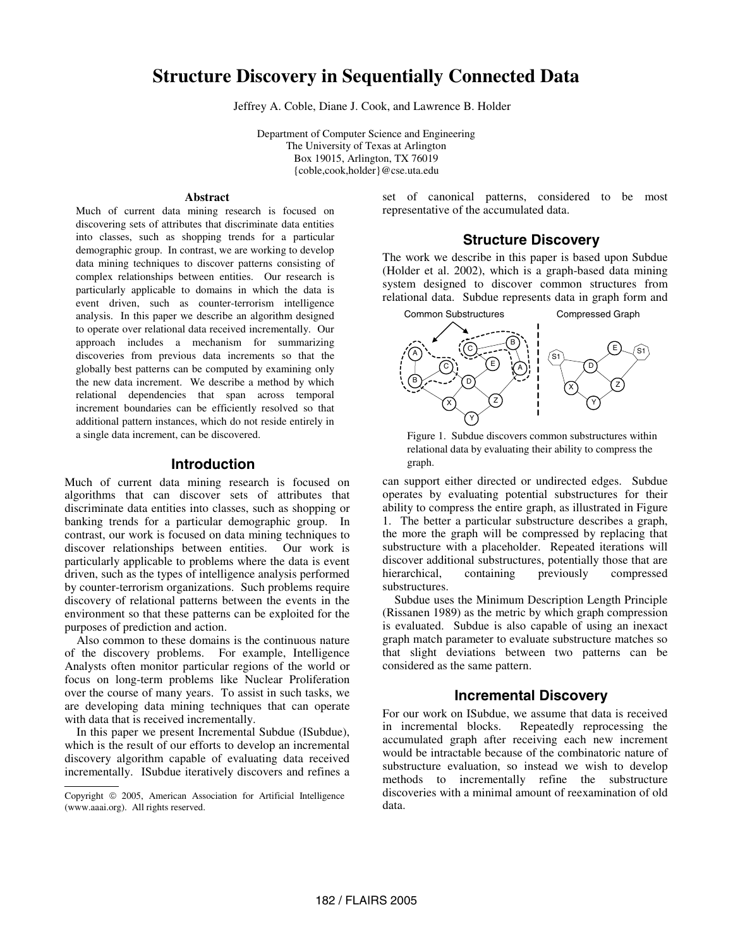# **Structure Discovery in Sequentially Connected Data**

Jeffrey A. Coble, Diane J. Cook, and Lawrence B. Holder

Department of Computer Science and Engineering The University of Texas at Arlington Box 19015, Arlington, TX 76019 {coble,cook,holder}@cse.uta.edu

## **Abstract**

Much of current data mining research is focused on discovering sets of attributes that discriminate data entities into classes, such as shopping trends for a particular demographic group. In contrast, we are working to develop data mining techniques to discover patterns consisting of complex relationships between entities. Our research is particularly applicable to domains in which the data is event driven, such as counter-terrorism intelligence analysis. In this paper we describe an algorithm designed to operate over relational data received incrementally. Our approach includes a mechanism for summarizing discoveries from previous data increments so that the globally best patterns can be computed by examining only the new data increment. We describe a method by which relational dependencies that span across temporal increment boundaries can be efficiently resolved so that additional pattern instances, which do not reside entirely in a single data increment, can be discovered.

## **Introduction**

Much of current data mining research is focused on algorithms that can discover sets of attributes that discriminate data entities into classes, such as shopping or banking trends for a particular demographic group. In contrast, our work is focused on data mining techniques to discover relationships between entities. Our work is particularly applicable to problems where the data is event driven, such as the types of intelligence analysis performed by counter-terrorism organizations. Such problems require discovery of relational patterns between the events in the environment so that these patterns can be exploited for the purposes of prediction and action.

Also common to these domains is the continuous nature of the discovery problems. For example, Intelligence Analysts often monitor particular regions of the world or focus on long-term problems like Nuclear Proliferation over the course of many years. To assist in such tasks, we are developing data mining techniques that can operate with data that is received incrementally.

In this paper we present Incremental Subdue (ISubdue), which is the result of our efforts to develop an incremental discovery algorithm capable of evaluating data received incrementally. ISubdue iteratively discovers and refines a set of canonical patterns, considered to be most representative of the accumulated data.

## **Structure Discovery**

The work we describe in this paper is based upon Subdue (Holder et al. 2002), which is a graph-based data mining system designed to discover common structures from relational data. Subdue represents data in graph form and



Figure 1. Subdue discovers common substructures within relational data by evaluating their ability to compress the graph.

can support either directed or undirected edges. Subdue operates by evaluating potential substructures for their ability to compress the entire graph, as illustrated in Figure 1. The better a particular substructure describes a graph, the more the graph will be compressed by replacing that substructure with a placeholder. Repeated iterations will discover additional substructures, potentially those that are<br>hierarchical, containing previously compressed hierarchical, containing previously compressed substructures.

Subdue uses the Minimum Description Length Principle (Rissanen 1989) as the metric by which graph compression is evaluated. Subdue is also capable of using an inexact graph match parameter to evaluate substructure matches so that slight deviations between two patterns can be considered as the same pattern.

#### **Incremental Discovery**

For our work on ISubdue, we assume that data is received in incremental blocks. Repeatedly reprocessing the accumulated graph after receiving each new increment would be intractable because of the combinatoric nature of substructure evaluation, so instead we wish to develop methods to incrementally refine the substructure discoveries with a minimal amount of reexamination of old data.

Copyright © 2005, American Association for Artificial Intelligence (www.aaai.org). All rights reserved.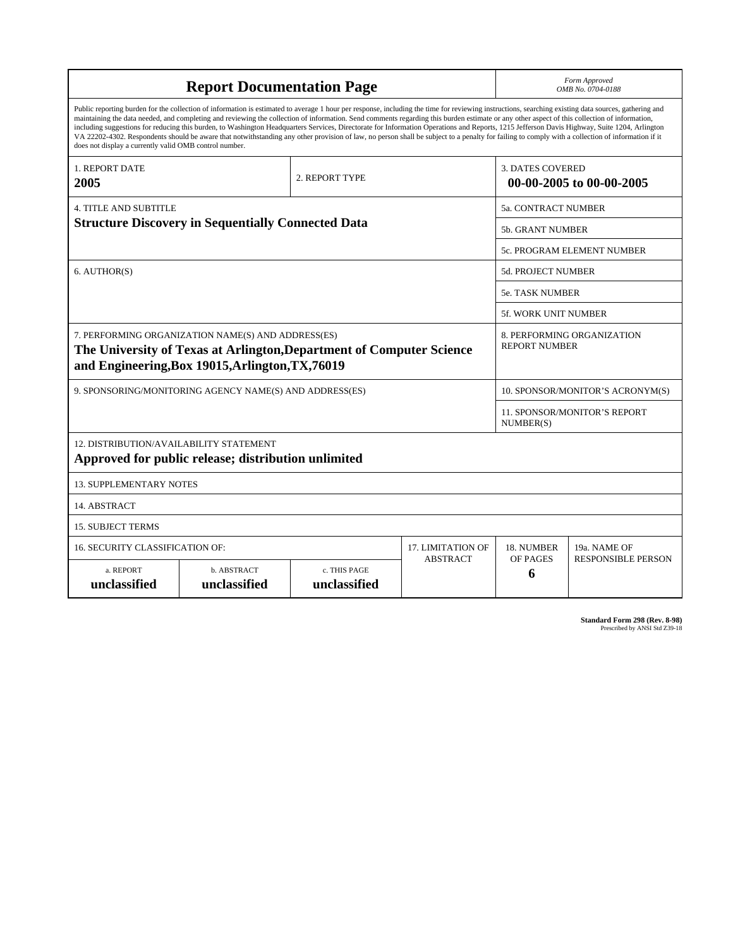| <b>Report Documentation Page</b>                                                                                                                                                                                                                                                                                                                                                                                                                                                                                                                                                                                                                                                                                                                                                                                                                                   |                             |                              |                 | Form Approved<br>OMB No. 0704-0188                  |                           |
|--------------------------------------------------------------------------------------------------------------------------------------------------------------------------------------------------------------------------------------------------------------------------------------------------------------------------------------------------------------------------------------------------------------------------------------------------------------------------------------------------------------------------------------------------------------------------------------------------------------------------------------------------------------------------------------------------------------------------------------------------------------------------------------------------------------------------------------------------------------------|-----------------------------|------------------------------|-----------------|-----------------------------------------------------|---------------------------|
| Public reporting burden for the collection of information is estimated to average 1 hour per response, including the time for reviewing instructions, searching existing data sources, gathering and<br>maintaining the data needed, and completing and reviewing the collection of information. Send comments regarding this burden estimate or any other aspect of this collection of information,<br>including suggestions for reducing this burden, to Washington Headquarters Services, Directorate for Information Operations and Reports, 1215 Jefferson Davis Highway, Suite 1204, Arlington<br>VA 22202-4302. Respondents should be aware that notwithstanding any other provision of law, no person shall be subject to a penalty for failing to comply with a collection of information if it<br>does not display a currently valid OMB control number. |                             |                              |                 |                                                     |                           |
| <b>1. REPORT DATE</b><br>2005                                                                                                                                                                                                                                                                                                                                                                                                                                                                                                                                                                                                                                                                                                                                                                                                                                      | 2. REPORT TYPE              |                              |                 | <b>3. DATES COVERED</b><br>00-00-2005 to 00-00-2005 |                           |
| <b>4. TITLE AND SUBTITLE</b><br><b>Structure Discovery in Sequentially Connected Data</b>                                                                                                                                                                                                                                                                                                                                                                                                                                                                                                                                                                                                                                                                                                                                                                          |                             |                              |                 | 5a. CONTRACT NUMBER                                 |                           |
|                                                                                                                                                                                                                                                                                                                                                                                                                                                                                                                                                                                                                                                                                                                                                                                                                                                                    |                             |                              |                 | <b>5b. GRANT NUMBER</b>                             |                           |
|                                                                                                                                                                                                                                                                                                                                                                                                                                                                                                                                                                                                                                                                                                                                                                                                                                                                    |                             |                              |                 | 5c. PROGRAM ELEMENT NUMBER                          |                           |
| 6. AUTHOR(S)                                                                                                                                                                                                                                                                                                                                                                                                                                                                                                                                                                                                                                                                                                                                                                                                                                                       |                             |                              |                 | <b>5d. PROJECT NUMBER</b>                           |                           |
|                                                                                                                                                                                                                                                                                                                                                                                                                                                                                                                                                                                                                                                                                                                                                                                                                                                                    |                             |                              |                 | <b>5e. TASK NUMBER</b>                              |                           |
|                                                                                                                                                                                                                                                                                                                                                                                                                                                                                                                                                                                                                                                                                                                                                                                                                                                                    |                             |                              |                 | <b>5f. WORK UNIT NUMBER</b>                         |                           |
| 7. PERFORMING ORGANIZATION NAME(S) AND ADDRESS(ES)<br>The University of Texas at Arlington, Department of Computer Science<br>and Engineering, Box 19015, Arlington, TX, 76019                                                                                                                                                                                                                                                                                                                                                                                                                                                                                                                                                                                                                                                                                     |                             |                              |                 | 8. PERFORMING ORGANIZATION<br><b>REPORT NUMBER</b>  |                           |
| 9. SPONSORING/MONITORING AGENCY NAME(S) AND ADDRESS(ES)                                                                                                                                                                                                                                                                                                                                                                                                                                                                                                                                                                                                                                                                                                                                                                                                            |                             |                              |                 | 10. SPONSOR/MONITOR'S ACRONYM(S)                    |                           |
|                                                                                                                                                                                                                                                                                                                                                                                                                                                                                                                                                                                                                                                                                                                                                                                                                                                                    |                             |                              |                 | <b>11. SPONSOR/MONITOR'S REPORT</b><br>NUMBER(S)    |                           |
| 12. DISTRIBUTION/AVAILABILITY STATEMENT<br>Approved for public release; distribution unlimited                                                                                                                                                                                                                                                                                                                                                                                                                                                                                                                                                                                                                                                                                                                                                                     |                             |                              |                 |                                                     |                           |
| <b>13. SUPPLEMENTARY NOTES</b>                                                                                                                                                                                                                                                                                                                                                                                                                                                                                                                                                                                                                                                                                                                                                                                                                                     |                             |                              |                 |                                                     |                           |
| 14. ABSTRACT                                                                                                                                                                                                                                                                                                                                                                                                                                                                                                                                                                                                                                                                                                                                                                                                                                                       |                             |                              |                 |                                                     |                           |
| <b>15. SUBJECT TERMS</b>                                                                                                                                                                                                                                                                                                                                                                                                                                                                                                                                                                                                                                                                                                                                                                                                                                           |                             |                              |                 |                                                     |                           |
| 16. SECURITY CLASSIFICATION OF:                                                                                                                                                                                                                                                                                                                                                                                                                                                                                                                                                                                                                                                                                                                                                                                                                                    | <b>17. LIMITATION OF</b>    | 18. NUMBER                   | 19a. NAME OF    |                                                     |                           |
| a. REPORT<br>unclassified                                                                                                                                                                                                                                                                                                                                                                                                                                                                                                                                                                                                                                                                                                                                                                                                                                          | b. ABSTRACT<br>unclassified | c. THIS PAGE<br>unclassified | <b>ABSTRACT</b> | OF PAGES<br>6                                       | <b>RESPONSIBLE PERSON</b> |

**Standard Form 298 (Rev. 8-98)**<br>Prescribed by ANSI Std Z39-18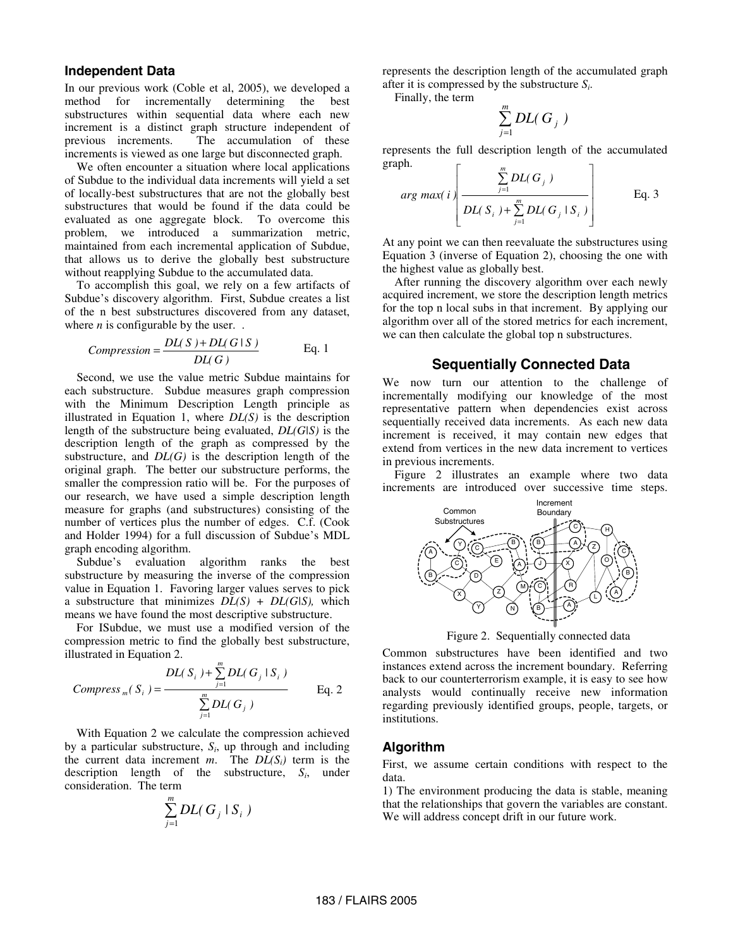#### **Independent Data**

In our previous work (Coble et al, 2005), we developed a method for incrementally determining the best substructures within sequential data where each new increment is a distinct graph structure independent of previous increments. The accumulation of these increments is viewed as one large but disconnected graph.

We often encounter a situation where local applications of Subdue to the individual data increments will yield a set of locally-best substructures that are not the globally best substructures that would be found if the data could be evaluated as one aggregate block. To overcome this problem, we introduced a summarization metric, maintained from each incremental application of Subdue, that allows us to derive the globally best substructure without reapplying Subdue to the accumulated data.

To accomplish this goal, we rely on a few artifacts of Subdue's discovery algorithm. First, Subdue creates a list of the n best substructures discovered from any dataset, where  $n$  is configurable by the user. .

*Compression* = 
$$
\frac{DL(S) + DL(G|S)}{DL(G)}
$$
 Eq. 1

Second, we use the value metric Subdue maintains for each substructure. Subdue measures graph compression with the Minimum Description Length principle as illustrated in Equation 1, where *DL(S)* is the description length of the substructure being evaluated, *DL(G|S)* is the description length of the graph as compressed by the substructure, and *DL(G)* is the description length of the original graph. The better our substructure performs, the smaller the compression ratio will be. For the purposes of our research, we have used a simple description length measure for graphs (and substructures) consisting of the number of vertices plus the number of edges. C.f. (Cook and Holder 1994) for a full discussion of Subdue's MDL graph encoding algorithm.

Subdue's evaluation algorithm ranks the best substructure by measuring the inverse of the compression value in Equation 1. Favoring larger values serves to pick a substructure that minimizes *DL(S) + DL(G|S),* which means we have found the most descriptive substructure.

For ISubdue, we must use a modified version of the compression metric to find the globally best substructure, illustrated in Equation 2.

$$
Conpress_{m}(S_{i}) = \frac{DL(S_{i}) + \sum_{j=1}^{m}DL(G_{j} | S_{i})}{\sum_{j=1}^{m}DL(G_{j})}
$$
 Eq. 2

With Equation 2 we calculate the compression achieved by a particular substructure,  $S_i$ , up through and including the current data increment  $m$ . The  $DL(S_i)$  term is the description length of the substructure, *Si*, under consideration. The term

$$
\sum_{j=1}^mDL(\,G_j\mid\!S_i\,)
$$

represents the description length of the accumulated graph after it is compressed by the substructure *Si*.

Finally, the term

$$
\sum_{j=1}^mDL(\,G_{_j}\,)
$$

represents the full description length of the accumulated graph.  $\mathbb{I}$  $\Gamma$ *m*

arg max
$$
(i)
$$
  $\left| \frac{\sum_{j=1}^{m}DL(G_j)}{DL(S_i) + \sum_{j=1}^{m}DL(G_j|S_i)} \right|$  Eq. 3

At any point we can then reevaluate the substructures using Equation 3 (inverse of Equation 2), choosing the one with the highest value as globally best.

After running the discovery algorithm over each newly acquired increment, we store the description length metrics for the top n local subs in that increment. By applying our algorithm over all of the stored metrics for each increment, we can then calculate the global top n substructures.

# **Sequentially Connected Data**

We now turn our attention to the challenge of incrementally modifying our knowledge of the most representative pattern when dependencies exist across sequentially received data increments. As each new data increment is received, it may contain new edges that extend from vertices in the new data increment to vertices in previous increments.

Figure 2 illustrates an example where two data increments are introduced over successive time steps.



Figure 2. Sequentially connected data

Common substructures have been identified and two instances extend across the increment boundary. Referring back to our counterterrorism example, it is easy to see how analysts would continually receive new information regarding previously identified groups, people, targets, or institutions.

#### **Algorithm**

First, we assume certain conditions with respect to the data.

1) The environment producing the data is stable, meaning that the relationships that govern the variables are constant. We will address concept drift in our future work.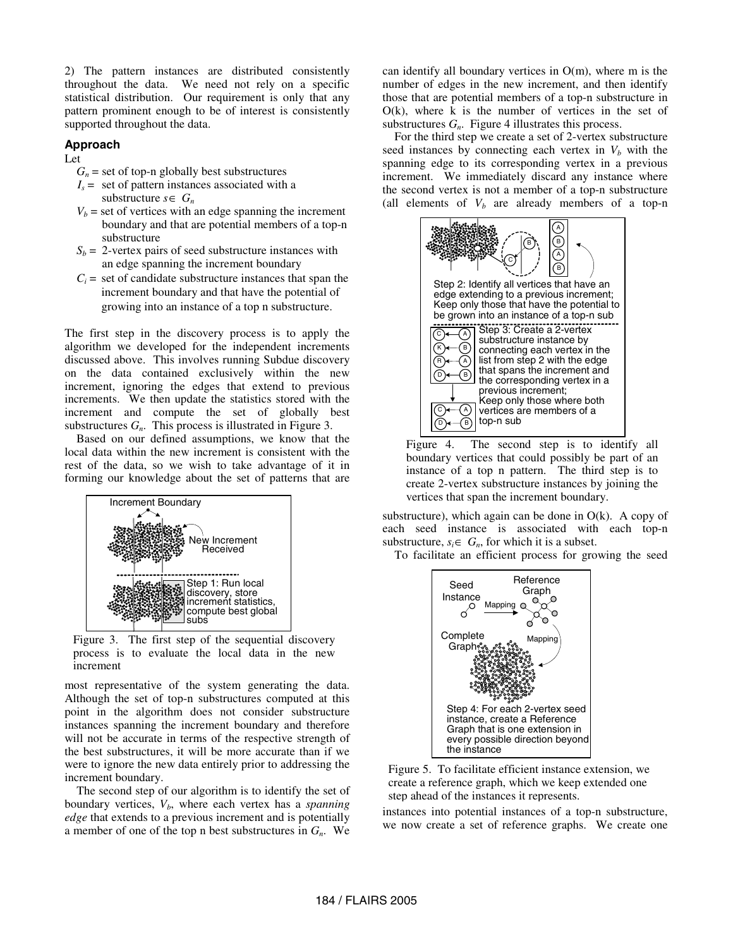2) The pattern instances are distributed consistently throughout the data. We need not rely on a specific statistical distribution. Our requirement is only that any pattern prominent enough to be of interest is consistently supported throughout the data.

#### **Approach**

Let

- $G_n$  = set of top-n globally best substructures
- $I_s$  = set of pattern instances associated with a substructure  $s \in G_n$
- $V_b$  = set of vertices with an edge spanning the increment boundary and that are potential members of a top-n substructure
- $S_b$  = 2-vertex pairs of seed substructure instances with an edge spanning the increment boundary
- $C_i$  = set of candidate substructure instances that span the increment boundary and that have the potential of growing into an instance of a top n substructure.

The first step in the discovery process is to apply the algorithm we developed for the independent increments discussed above. This involves running Subdue discovery on the data contained exclusively within the new increment, ignoring the edges that extend to previous increments. We then update the statistics stored with the increment and compute the set of globally best substructures  $G_n$ . This process is illustrated in Figure 3.

Based on our defined assumptions, we know that the local data within the new increment is consistent with the rest of the data, so we wish to take advantage of it in forming our knowledge about the set of patterns that are



Figure 3. The first step of the sequential discovery process is to evaluate the local data in the new increment

most representative of the system generating the data. Although the set of top-n substructures computed at this point in the algorithm does not consider substructure instances spanning the increment boundary and therefore will not be accurate in terms of the respective strength of the best substructures, it will be more accurate than if we were to ignore the new data entirely prior to addressing the increment boundary.

The second step of our algorithm is to identify the set of boundary vertices,  $V_b$ , where each vertex has a *spanning edge* that extends to a previous increment and is potentially a member of one of the top n best substructures in *Gn*. We

can identify all boundary vertices in  $O(m)$ , where m is the number of edges in the new increment, and then identify those that are potential members of a top-n substructure in  $O(k)$ , where k is the number of vertices in the set of substructures  $G_n$ . Figure 4 illustrates this process.

For the third step we create a set of 2-vertex substructure seed instances by connecting each vertex in  $V_b$  with the spanning edge to its corresponding vertex in a previous increment. We immediately discard any instance where the second vertex is not a member of a top-n substructure (all elements of  $V_b$  are already members of a top-n



Figure 4. The second step is to identify all boundary vertices that could possibly be part of an instance of a top n pattern. The third step is to create 2-vertex substructure instances by joining the vertices that span the increment boundary.

substructure), which again can be done in  $O(k)$ . A copy of each seed instance is associated with each top-n substructure,  $s_i \in G_n$ , for which it is a subset.

To facilitate an efficient process for growing the seed



Figure 5. To facilitate efficient instance extension, we create a reference graph, which we keep extended one step ahead of the instances it represents.

instances into potential instances of a top-n substructure, we now create a set of reference graphs. We create one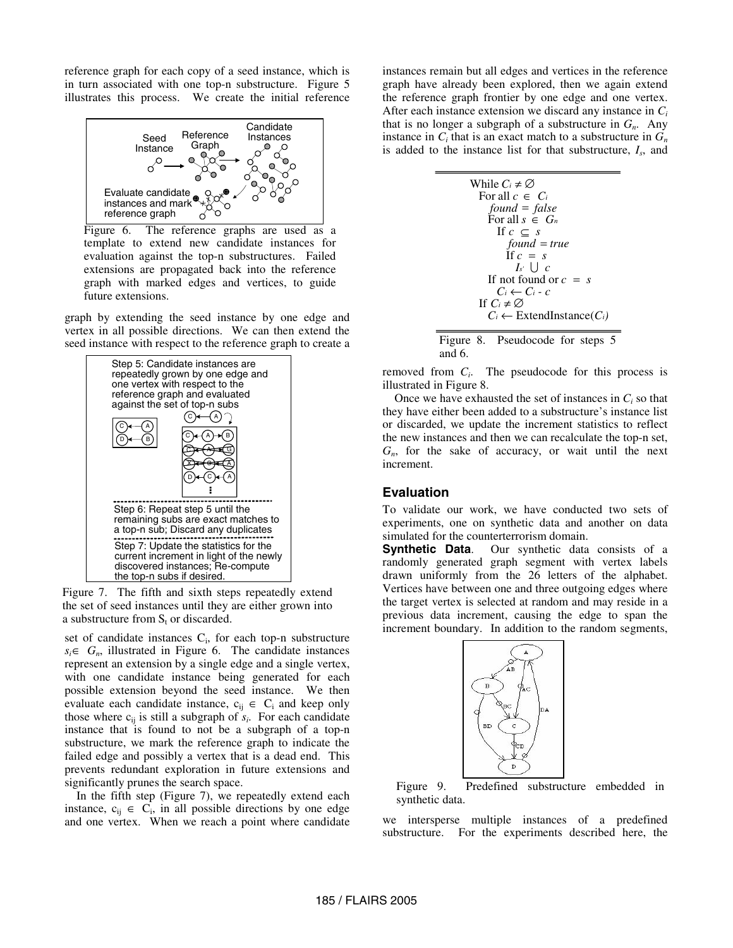reference graph for each copy of a seed instance, which is in turn associated with one top-n substructure. Figure 5 illustrates this process. We create the initial reference



Figure 6. The reference graphs are used as a template to extend new candidate instances for evaluation against the top-n substructures. Failed extensions are propagated back into the reference graph with marked edges and vertices, to guide future extensions.

graph by extending the seed instance by one edge and vertex in all possible directions. We can then extend the seed instance with respect to the reference graph to create a



Figure 7. The fifth and sixth steps repeatedly extend the set of seed instances until they are either grown into a substructure from  $S_t$  or discarded.

set of candidate instances  $C_i$ , for each top-n substructure  $s_i \in G_n$ , illustrated in Figure 6. The candidate instances represent an extension by a single edge and a single vertex, with one candidate instance being generated for each possible extension beyond the seed instance. We then evaluate each candidate instance,  $c_{ij} \in C_i$  and keep only those where  $c_{ij}$  is still a subgraph of  $s_i$ . For each candidate instance that is found to not be a subgraph of a top-n substructure, we mark the reference graph to indicate the failed edge and possibly a vertex that is a dead end. This prevents redundant exploration in future extensions and significantly prunes the search space.

In the fifth step (Figure 7), we repeatedly extend each instance,  $c_{ij} \in C_i$ , in all possible directions by one edge and one vertex. When we reach a point where candidate instances remain but all edges and vertices in the reference graph have already been explored, then we again extend the reference graph frontier by one edge and one vertex. After each instance extension we discard any instance in *Ci* that is no longer a subgraph of a substructure in  $G_n$ . Any instance in  $C_i$  that is an exact match to a substructure in  $G_n$ is added to the instance list for that substructure, *Is*, and



Figure 8. Pseudocode for steps 5 and 6.

removed from *Ci*. The pseudocode for this process is illustrated in Figure 8.

Once we have exhausted the set of instances in *Ci* so that they have either been added to a substructure's instance list or discarded, we update the increment statistics to reflect the new instances and then we can recalculate the top-n set, *Gn*, for the sake of accuracy, or wait until the next increment.

# **Evaluation**

To validate our work, we have conducted two sets of experiments, one on synthetic data and another on data simulated for the counterterrorism domain.

**Synthetic Data.** Our synthetic data consists of a randomly generated graph segment with vertex labels drawn uniformly from the 26 letters of the alphabet. Vertices have between one and three outgoing edges where the target vertex is selected at random and may reside in a previous data increment, causing the edge to span the increment boundary. In addition to the random segments,



Figure 9. Predefined substructure embedded in synthetic data.

we intersperse multiple instances of a predefined substructure. For the experiments described here, the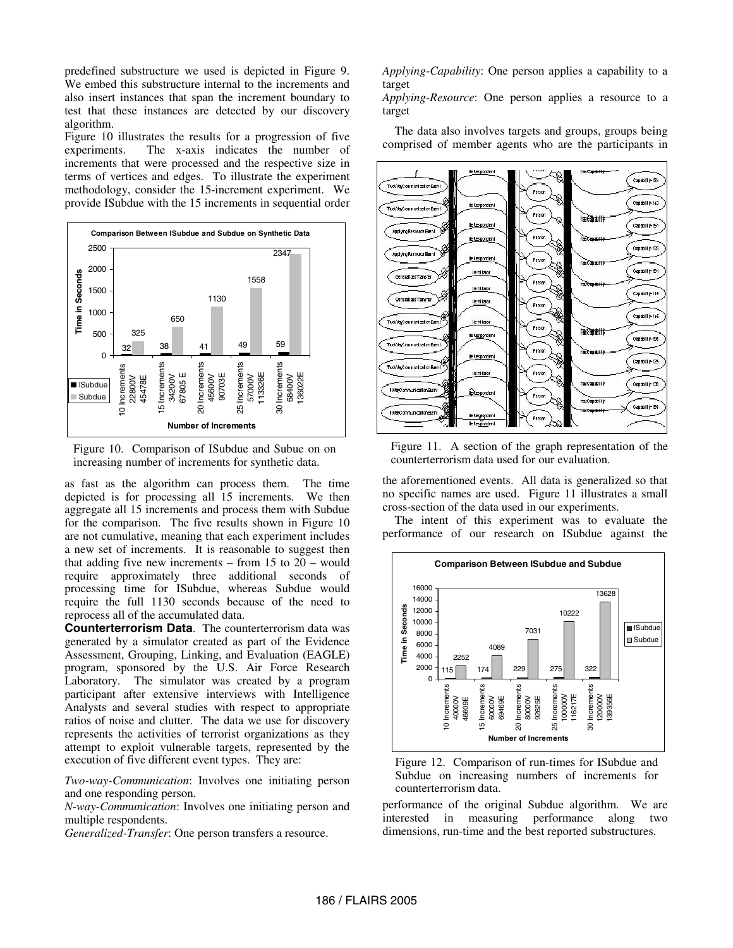predefined substructure we used is depicted in Figure 9. We embed this substructure internal to the increments and also insert instances that span the increment boundary to test that these instances are detected by our discovery algorithm.

Figure 10 illustrates the results for a progression of five experiments. The x-axis indicates the number of increments that were processed and the respective size in terms of vertices and edges. To illustrate the experiment methodology, consider the 15-increment experiment. We provide ISubdue with the 15 increments in sequential order



Figure 10. Comparison of ISubdue and Subue on on increasing number of increments for synthetic data.

as fast as the algorithm can process them. The time depicted is for processing all 15 increments. We then aggregate all 15 increments and process them with Subdue for the comparison. The five results shown in Figure 10 are not cumulative, meaning that each experiment includes a new set of increments. It is reasonable to suggest then that adding five new increments – from  $15$  to  $20$  – would require approximately three additional seconds of processing time for ISubdue, whereas Subdue would require the full 1130 seconds because of the need to reprocess all of the accumulated data.

**Counterterrorism Data**. The counterterrorism data was generated by a simulator created as part of the Evidence Assessment, Grouping, Linking, and Evaluation (EAGLE) program, sponsored by the U.S. Air Force Research Laboratory. The simulator was created by a program participant after extensive interviews with Intelligence Analysts and several studies with respect to appropriate ratios of noise and clutter. The data we use for discovery represents the activities of terrorist organizations as they attempt to exploit vulnerable targets, represented by the execution of five different event types. They are:

*Two-way-Communication*: Involves one initiating person and one responding person.

*N-way-Communication*: Involves one initiating person and multiple respondents.

*Generalized-Transfer*: One person transfers a resource.

*Applying-Capability*: One person applies a capability to a target

*Applying-Resource*: One person applies a resource to a target

The data also involves targets and groups, groups being comprised of member agents who are the participants in



Figure 11. A section of the graph representation of the counterterrorism data used for our evaluation.

the aforementioned events. All data is generalized so that no specific names are used. Figure 11 illustrates a small cross-section of the data used in our experiments.

The intent of this experiment was to evaluate the performance of our research on ISubdue against the



Figure 12. Comparison of run-times for ISubdue and Subdue on increasing numbers of increments for counterterrorism data.

performance of the original Subdue algorithm. We are interested in measuring performance along two dimensions, run-time and the best reported substructures.